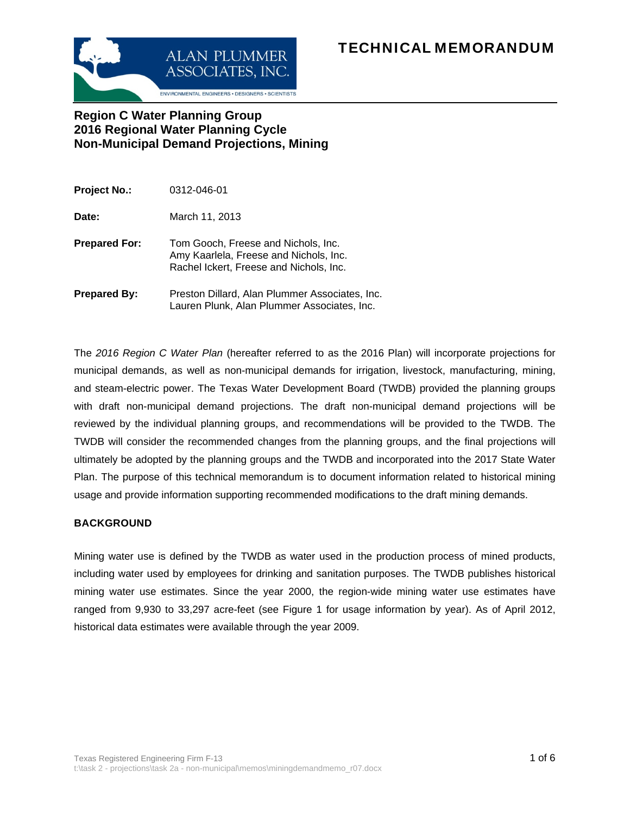# ALAN PLUMMER **TECHNICAL MEMORANDUM**



## **Region C Water Planning Group 2016 Regional Water Planning Cycle Non-Municipal Demand Projections, Mining**

| <b>Project No.:</b>  | 0312-046-01                                                                                                              |
|----------------------|--------------------------------------------------------------------------------------------------------------------------|
| Date:                | March 11, 2013                                                                                                           |
| <b>Prepared For:</b> | Tom Gooch, Freese and Nichols, Inc.<br>Amy Kaarlela, Freese and Nichols, Inc.<br>Rachel Ickert, Freese and Nichols, Inc. |
| <b>Prepared By:</b>  | Preston Dillard, Alan Plummer Associates, Inc.<br>Lauren Plunk, Alan Plummer Associates, Inc.                            |

The *2016 Region C Water Plan* (hereafter referred to as the 2016 Plan) will incorporate projections for municipal demands, as well as non-municipal demands for irrigation, livestock, manufacturing, mining, and steam-electric power. The Texas Water Development Board (TWDB) provided the planning groups with draft non-municipal demand projections. The draft non-municipal demand projections will be reviewed by the individual planning groups, and recommendations will be provided to the TWDB. The TWDB will consider the recommended changes from the planning groups, and the final projections will ultimately be adopted by the planning groups and the TWDB and incorporated into the 2017 State Water Plan. The purpose of this technical memorandum is to document information related to historical mining usage and provide information supporting recommended modifications to the draft mining demands.

#### **BACKGROUND**

Mining water use is defined by the TWDB as water used in the production process of mined products, including water used by employees for drinking and sanitation purposes. The TWDB publishes historical mining water use estimates. Since the year 2000, the region-wide mining water use estimates have ranged from 9,930 to 33,297 acre-feet (see Figure 1 for usage information by year). As of April 2012, historical data estimates were available through the year 2009.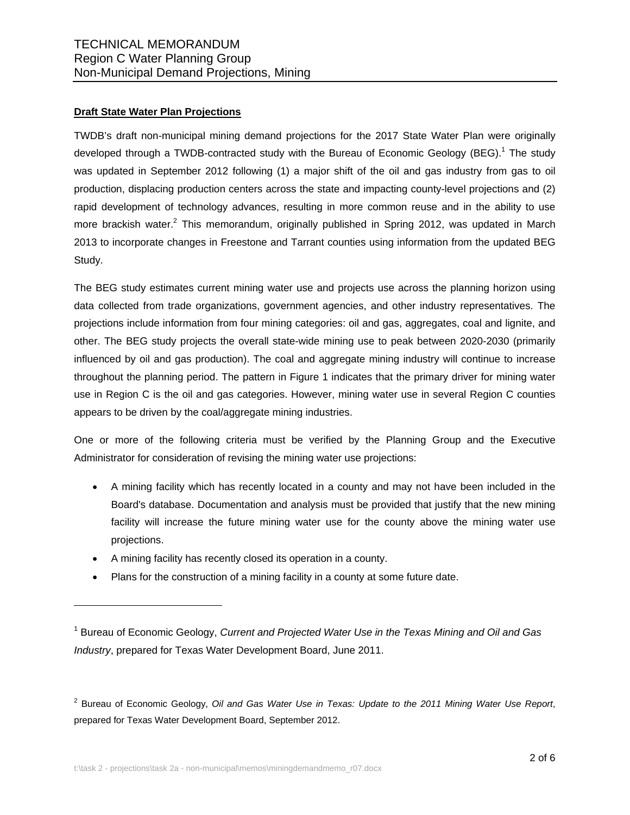#### **Draft State Water Plan Projections**

TWDB's draft non-municipal mining demand projections for the 2017 State Water Plan were originally developed through a TWDB-contracted study with the Bureau of Economic Geology (BEG).<sup>1</sup> The study was updated in September 2012 following (1) a major shift of the oil and gas industry from gas to oil production, displacing production centers across the state and impacting county-level projections and (2) rapid development of technology advances, resulting in more common reuse and in the ability to use more brackish water.<sup>2</sup> This memorandum, originally published in Spring 2012, was updated in March 2013 to incorporate changes in Freestone and Tarrant counties using information from the updated BEG Study.

The BEG study estimates current mining water use and projects use across the planning horizon using data collected from trade organizations, government agencies, and other industry representatives. The projections include information from four mining categories: oil and gas, aggregates, coal and lignite, and other. The BEG study projects the overall state-wide mining use to peak between 2020-2030 (primarily influenced by oil and gas production). The coal and aggregate mining industry will continue to increase throughout the planning period. The pattern in Figure 1 indicates that the primary driver for mining water use in Region C is the oil and gas categories. However, mining water use in several Region C counties appears to be driven by the coal/aggregate mining industries.

One or more of the following criteria must be verified by the Planning Group and the Executive Administrator for consideration of revising the mining water use projections:

- A mining facility which has recently located in a county and may not have been included in the Board's database. Documentation and analysis must be provided that justify that the new mining facility will increase the future mining water use for the county above the mining water use projections.
- A mining facility has recently closed its operation in a county.

l

Plans for the construction of a mining facility in a county at some future date.

<sup>&</sup>lt;sup>1</sup> Bureau of Economic Geology, *Current and Projected Water Use in the Texas Mining and Oil and Gas Industry*, prepared for Texas Water Development Board, June 2011.

<sup>2</sup> Bureau of Economic Geology, *Oil and Gas Water Use in Texas: Update to the 2011 Mining Water Use Report*, prepared for Texas Water Development Board, September 2012.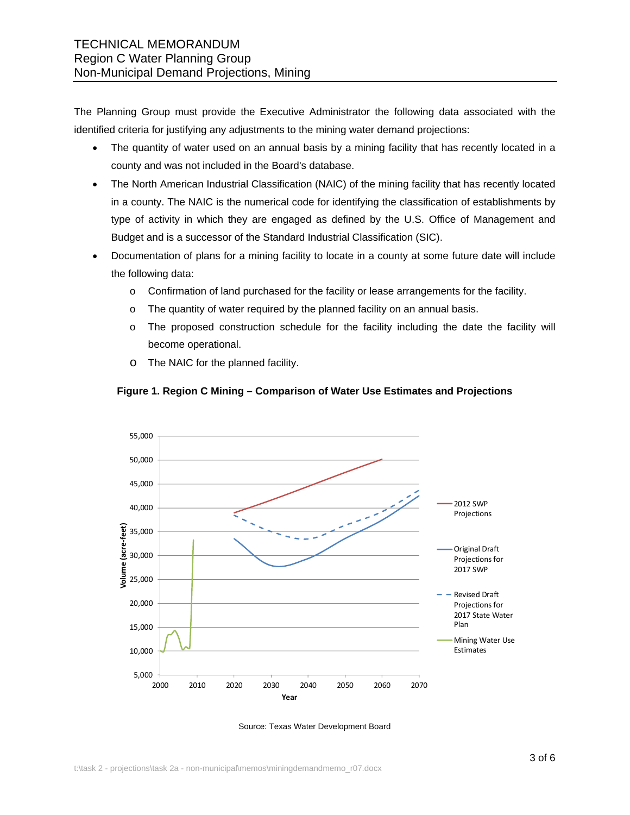The Planning Group must provide the Executive Administrator the following data associated with the identified criteria for justifying any adjustments to the mining water demand projections:

- The quantity of water used on an annual basis by a mining facility that has recently located in a county and was not included in the Board's database.
- The North American Industrial Classification (NAIC) of the mining facility that has recently located in a county. The NAIC is the numerical code for identifying the classification of establishments by type of activity in which they are engaged as defined by the U.S. Office of Management and Budget and is a successor of the Standard Industrial Classification (SIC).
- Documentation of plans for a mining facility to locate in a county at some future date will include the following data:
	- o Confirmation of land purchased for the facility or lease arrangements for the facility.
	- $\circ$  The quantity of water required by the planned facility on an annual basis.
	- o The proposed construction schedule for the facility including the date the facility will become operational.
	- o The NAIC for the planned facility.



#### **Figure 1. Region C Mining – Comparison of Water Use Estimates and Projections**

Source: Texas Water Development Board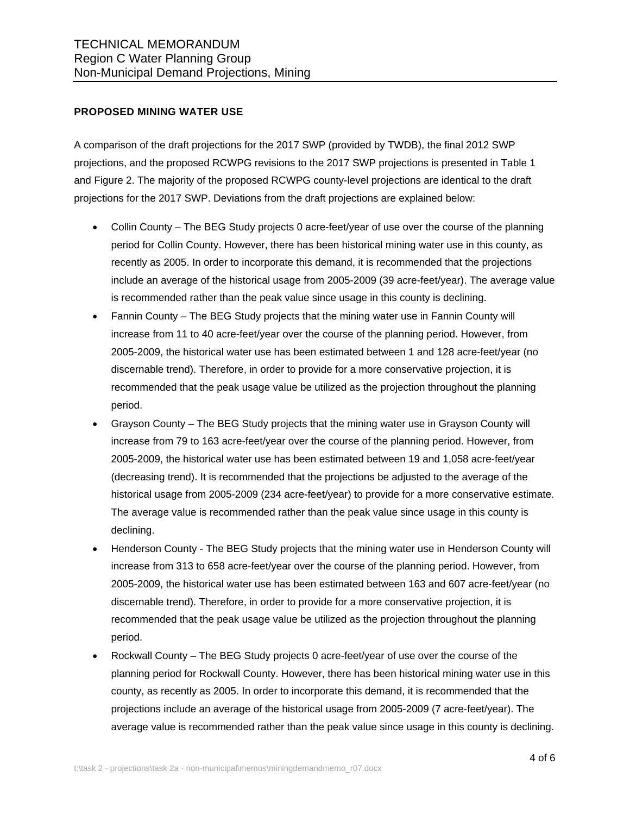#### **PROPOSED MINING WATER USE**

A comparison of the draft projections for the 2017 SWP (provided by TWDB), the final 2012 SWP projections, and the proposed RCWPG revisions to the 2017 SWP projections is presented in Table 1 and Figure 2. The majority of the proposed RCWPG county-level projections are identical to the draft projections for the 2017 SWP. Deviations from the draft projections are explained below:

- Collin County The BEG Study projects 0 acre-feet/year of use over the course of the planning period for Collin County. However, there has been historical mining water use in this county, as recently as 2005. In order to incorporate this demand, it is recommended that the projections include an average of the historical usage from 2005-2009 (39 acre-feet/year). The average value is recommended rather than the peak value since usage in this county is declining.
- Fannin County The BEG Study projects that the mining water use in Fannin County will increase from 11 to 40 acre-feet/year over the course of the planning period. However, from 2005-2009, the historical water use has been estimated between 1 and 128 acre-feet/year (no discernable trend). Therefore, in order to provide for a more conservative projection, it is recommended that the peak usage value be utilized as the projection throughout the planning period.
- Grayson County The BEG Study projects that the mining water use in Grayson County will increase from 79 to 163 acre-feet/year over the course of the planning period. However, from 2005-2009, the historical water use has been estimated between 19 and 1,058 acre-feet/year (decreasing trend). It is recommended that the projections be adjusted to the average of the historical usage from 2005-2009 (234 acre-feet/year) to provide for a more conservative estimate. The average value is recommended rather than the peak value since usage in this county is declining.
- Henderson County The BEG Study projects that the mining water use in Henderson County will increase from 313 to 658 acre-feet/year over the course of the planning period. However, from 2005-2009, the historical water use has been estimated between 163 and 607 acre-feet/year (no discernable trend). Therefore, in order to provide for a more conservative projection, it is recommended that the peak usage value be utilized as the projection throughout the planning period.
- Rockwall County The BEG Study projects 0 acre-feet/year of use over the course of the planning period for Rockwall County. However, there has been historical mining water use in this county, as recently as 2005. In order to incorporate this demand, it is recommended that the projections include an average of the historical usage from 2005-2009 (7 acre-feet/year). The average value is recommended rather than the peak value since usage in this county is declining.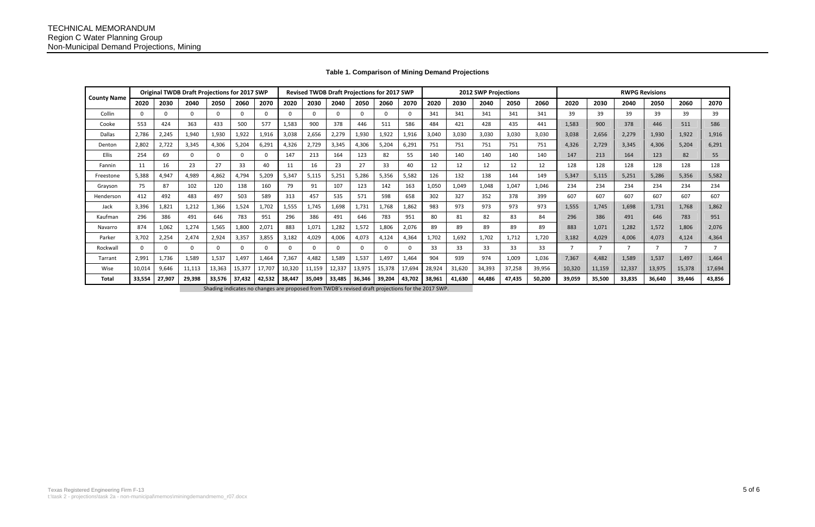## **Table 1. Comparison of Mining Demand Projections**

| <b>County Name</b>                                                                                | <b>Original TWDB Draft Projections for 2017 SWP</b> |          |             |          |              |              |          | Revised TWDB Draft Projections for 2017 SWP |          |          |        |        |        |        | 2012 SWP Projections |        |        | <b>RWPG Revisions</b> |        |        |                |        |        |
|---------------------------------------------------------------------------------------------------|-----------------------------------------------------|----------|-------------|----------|--------------|--------------|----------|---------------------------------------------|----------|----------|--------|--------|--------|--------|----------------------|--------|--------|-----------------------|--------|--------|----------------|--------|--------|
|                                                                                                   | 2020                                                | 2030     | 2040        | 2050     | 2060         | 2070         | 2020     | 2030                                        | 2040     | 2050     | 2060   | 2070   | 2020   | 2030   | 2040                 | 2050   | 2060   | 2020                  | 2030   | 2040   | 2050           | 2060   | 2070   |
| Collin                                                                                            | $\Omega$                                            | $\Omega$ | $\Omega$    | $\Omega$ | $\mathbf{0}$ | <sup>n</sup> | $\Omega$ | $\Omega$                                    | $\Omega$ | $\Omega$ |        | - 0    | 341    | 341    | 341                  | 341    | 341    | 39                    | 39     | 39     | 39             | 39     | 39     |
| Cooke                                                                                             | 553                                                 | 424      | 363         | 433      | 500          | 577          | 1,583    | 900                                         | 378      | 446      | 511    | 586    | 484    | 421    | 428                  | 435    | 441    | 1,583                 | 900    | 378    | 446            | 511    | 586    |
| <b>Dallas</b>                                                                                     | 2,786                                               | 2,245    | 1,940       | 1,930    | 1,922        | 1,916        | 3,038    | 2,656                                       | 2,279    | 1,930    | 1,922  | 1,916  | 3,040  | 3,030  | 3,030                | 3,030  | 3,030  | 3,038                 | 2,656  | 2,279  | 1,930          | 1,922  | 1,916  |
| Denton                                                                                            | 2,802                                               | 2,722    | 3,345       | 4,306    | 5,204        | 6,291        | 4,326    | 2,729                                       | 3,345    | 4,306    | 5,204  | 6,291  | 751    | 751    | 751                  | 751    | 751    | 4,326                 | 2,729  | 3,345  | 4,306          | 5,204  | 6,291  |
| Ellis                                                                                             | 254                                                 | 69       | $\mathbf 0$ | $\Omega$ | $\mathbf{0}$ |              | 147      | 213                                         | 164      | 123      | 82     | 55     | 140    | 140    | 140                  | 140    | 140    | 147                   | 213    | 164    | 123            | 82     | 55     |
| Fannin                                                                                            | 11                                                  | 16       | 23          | 27       | 33           | 40           |          | 16                                          | 23       | 27       | 33     | 40     | 12     | 12     | 12                   | 12     | 12     | 128                   | 128    | 128    | 128            | 128    | 128    |
| Freestone                                                                                         | 5,388                                               | 4,947    | 4,989       | 4,862    | 4,794        | 5,209        | 5,347    | 5,115                                       | 5,251    | 5,286    | 5,356  | 5,582  | 126    | 132    | 138                  | 144    | 149    | 5,347                 | 5,115  | 5,251  | 5,286          | 5,356  | 5,582  |
| Grayson                                                                                           | 75                                                  | 87       | 102         | 120      | 138          | 160          | 79       | 91                                          | 107      | 123      | 142    | 163    | 1,050  | 1,049  | 1,048                | 1,047  | 1,046  | 234                   | 234    | 234    | 234            | 234    | 234    |
| Henderson                                                                                         | 412                                                 | 492      | 483         | 497      | 503          | 589          | 313      | 457                                         | 535      | 571      | 598    | 658    | 302    | 327    | 352                  | 378    | 399    | 607                   | 607    | 607    | 607            | 607    | 607    |
| Jack                                                                                              | 3,396                                               | 1,821    | 1,212       | 1,366    | 1,524        | 1,702        | 1,555    | 1,745                                       | 1,698    | 1,731    | 1.768  | 1,862  | 983    | 973    | 973                  | 973    | 973    | 1,555                 | 1,745  | 1,698  | 1,731          | 1,768  | 1,862  |
| Kaufman                                                                                           | 296                                                 | 386      | 491         | 646      | 783          | 951          | 296      | 386                                         | 491      | 646      | 783    | 951    | 80     | 81     | 82                   | 83     | 84     | 296                   | 386    | 491    | 646            | 783    | 951    |
| Navarro                                                                                           | 874                                                 | 1,062    | 1,274       | 1,565    | 1,800        | 2,071        | 883      | 1,071                                       | 1,282    | 1,572    | 1.806  | 2,076  | 89     | 89     | 89                   | 89     | 89     | 883                   | 1,071  | 1,282  | 1,572          | 1,806  | 2,076  |
| Parker                                                                                            | 3,702                                               | 2,254    | 2,474       | 2,924    | 3,357        | 3,855        | 3,182    | 4,029                                       | 4,006    | 4,073    | 4,124  | 4,364  | 1,702  | 1,692  | 1,702                | 1,712  | 1.720  | 3,182                 | 4,029  | 4.006  | 4,073          | 4,124  | 4,364  |
| Rockwal                                                                                           | $\Omega$                                            | $\Omega$ | $\Omega$    | $\Omega$ | $\Omega$     |              |          | $\Omega$                                    | $\Omega$ | $\Omega$ |        |        | 33     | 33     | 33                   | 33     | 33     | $\overline{ }$        |        | ⇁      | $\overline{7}$ |        |        |
| Tarrant                                                                                           | 2,991                                               | 1,736    | 1,589       | 1,537    | 1,497        | 1,464        | 7,367    | 4,482                                       | 1,589    | 1,537    | 1.497  | 1,464  | 904    | 939    | 974                  | 1,009  | 1,036  | 7,367                 | 4,482  | 1,589  | 1,537          | 1,497  | 1,464  |
| Wise                                                                                              | 10,014                                              | 9,646    | 11,113      | 13,363   | 15,377       | 17,707       | 10,320   | 11,159                                      | 12,337   | 13,975   | 15,378 | 17,694 | 28,924 | 31,620 | 34,393               | 37,258 | 39,956 | 10,320                | 11,159 | 12,337 | 13,975         | 15,378 | 17,694 |
| Total                                                                                             | 33,554                                              | 27,907   | 29,398      | 33,576   | 37,432       | 42,532       | 38,447   | 35,049                                      | 33,485   | 36,346   | 39.204 | 43,702 | 38,961 | 41,630 | 44,486               | 47,435 | 50,200 | 39,059                | 35,500 | 33,835 | 36,640         | 39,446 | 43,856 |
| Shading indicates no changes are proposed from TWDB's revised draft projections for the 2017 SWP. |                                                     |          |             |          |              |              |          |                                             |          |          |        |        |        |        |                      |        |        |                       |        |        |                |        |        |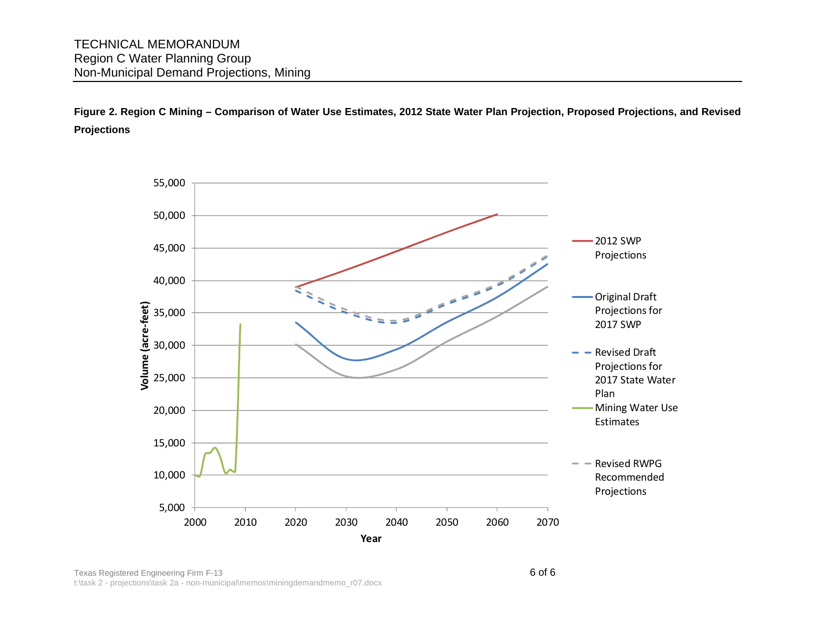**Figure 2. Region C Mining – Comparison of Water Use Estimates, 2012 State Water Plan Projection, Proposed Projections, and Revised Projections** 

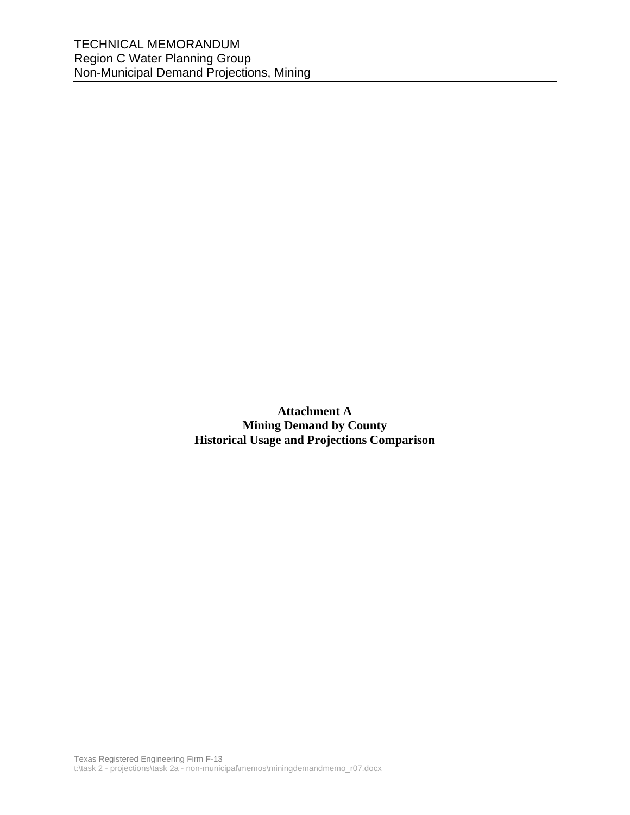**Attachment A Mining Demand by County Historical Usage and Projections Comparison**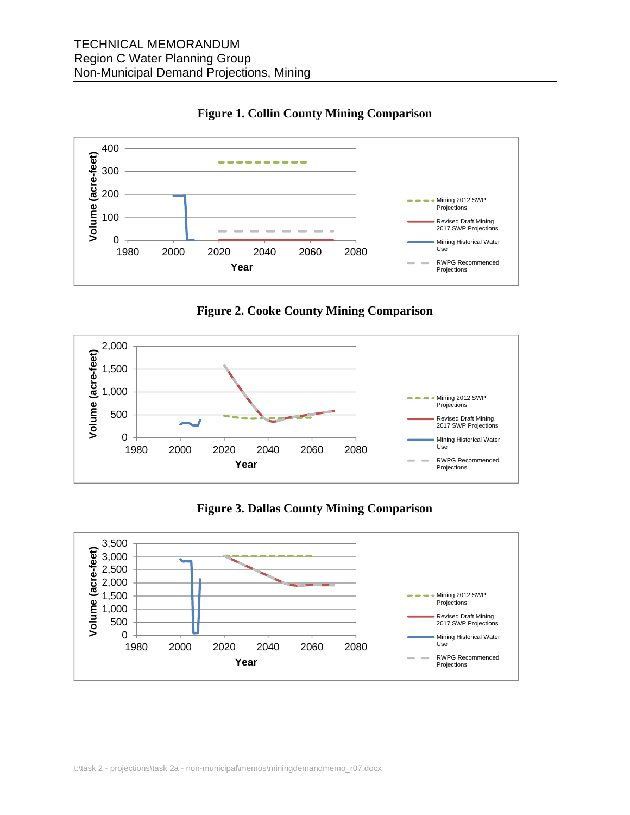



**Figure 2. Cooke County Mining Comparison** 



**Figure 3. Dallas County Mining Comparison** 

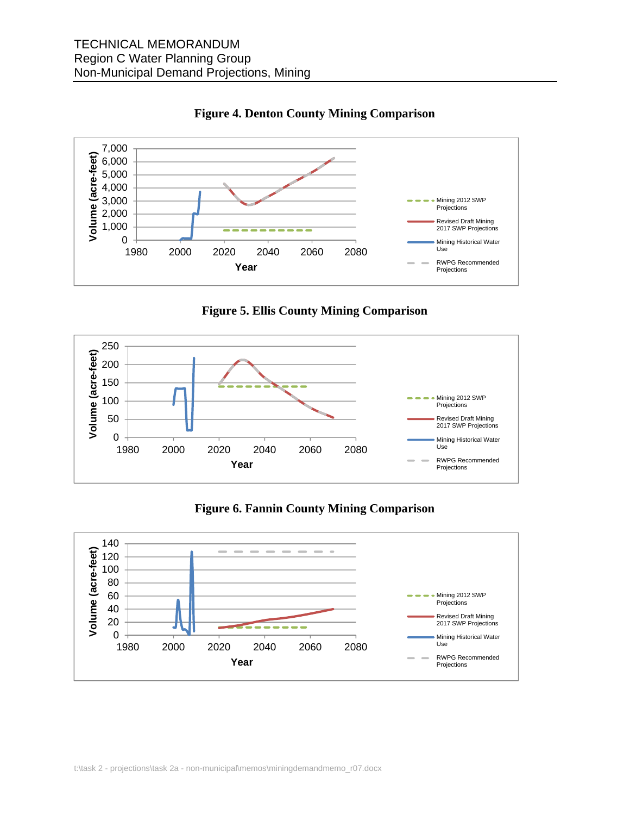

### **Figure 4. Denton County Mining Comparison**

**Figure 5. Ellis County Mining Comparison** 



## **Figure 6. Fannin County Mining Comparison**

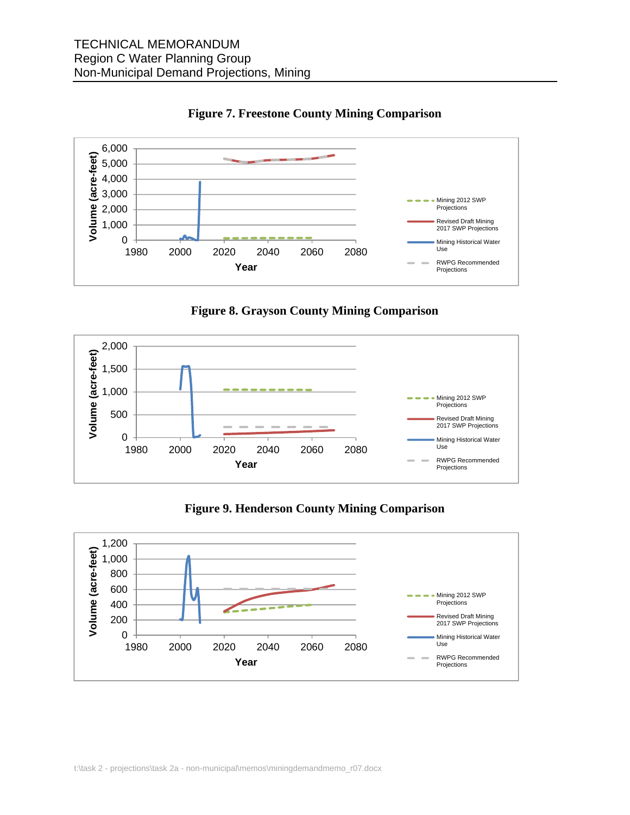

**Figure 7. Freestone County Mining Comparison** 





**Figure 9. Henderson County Mining Comparison** 

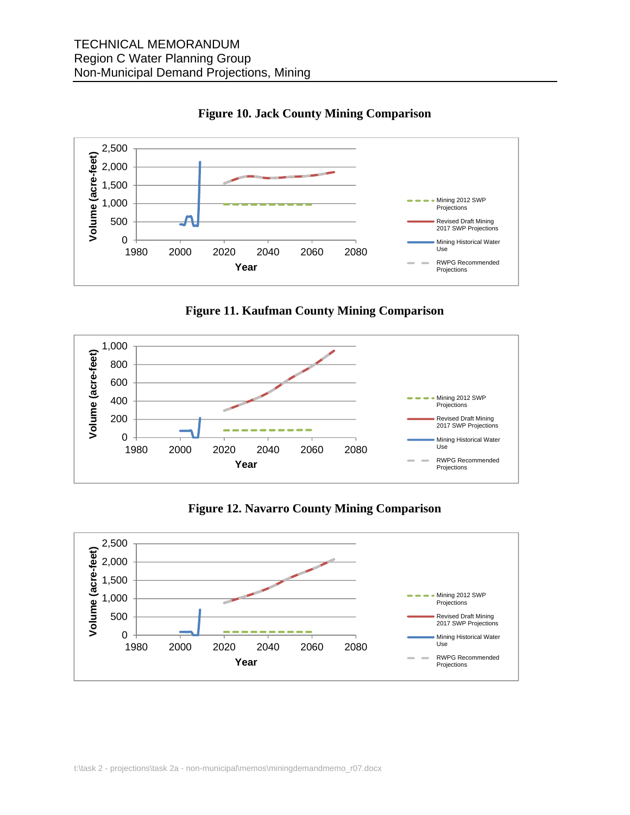



**Figure 11. Kaufman County Mining Comparison** 



**Figure 12. Navarro County Mining Comparison** 

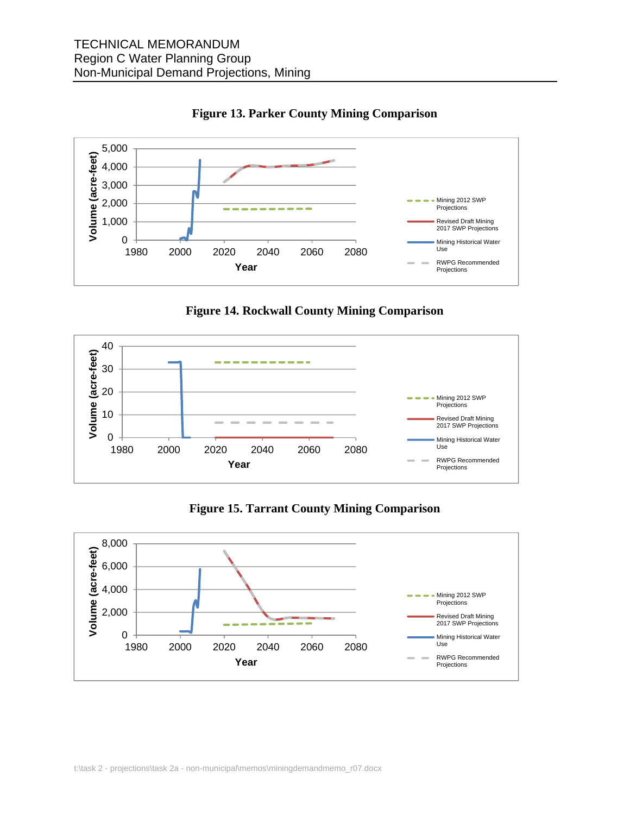

**Figure 13. Parker County Mining Comparison** 





**Figure 15. Tarrant County Mining Comparison**